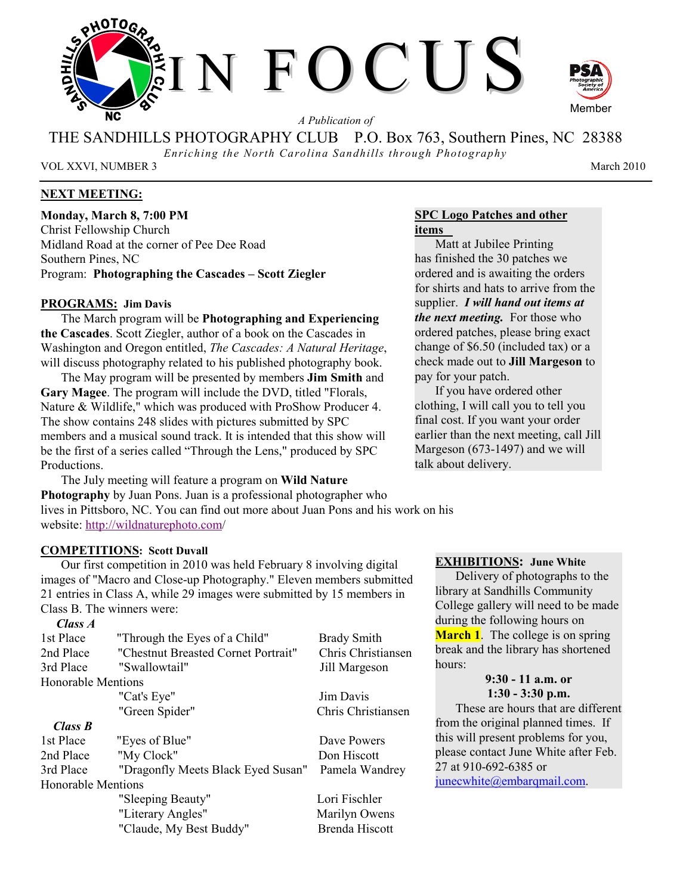

*A Publication of* 

THE SANDHILLS PHOTOGRAPHY CLUB P.O. Box 763, Southern Pines, NC 28388

*Enriching the North Carolina Sandhills through Photography* 

VOL XXVI, NUMBER 3 March 2010

# **NEXT MEETING:**

**Monday, March 8, 7:00 PM**  Christ Fellowship Church Midland Road at the corner of Pee Dee Road Southern Pines, NC Program: **Photographing the Cascades – Scott Ziegler**

# **PROGRAMS: Jim Davis**

The March program will be **Photographing and Experiencing the Cascades**. Scott Ziegler, author of a book on the Cascades in Washington and Oregon entitled, *The Cascades: A Natural Heritage*, will discuss photography related to his published photography book.

The May program will be presented by members **Jim Smith** and **Gary Magee**. The program will include the DVD, titled "Florals, Nature & Wildlife," which was produced with ProShow Producer 4. The show contains 248 slides with pictures submitted by SPC members and a musical sound track. It is intended that this show will be the first of a series called "Through the Lens," produced by SPC Productions.

The July meeting will feature a program on **Wild Nature Photography** by Juan Pons. Juan is a professional photographer who lives in Pittsboro, NC. You can find out more about Juan Pons and his work on his website: http://wildnaturephoto.com/

# **COMPETITIONS: Scott Duvall**

Our first competition in 2010 was held February 8 involving digital images of "Macro and Close-up Photography." Eleven members submitted 21 entries in Class A, while 29 images were submitted by 15 members in Class B. The winners were:

# *Class A*

| 1st Place                 | "Through the Eyes of a Child"       | <b>Brady Smith</b> |  |  |  |  |
|---------------------------|-------------------------------------|--------------------|--|--|--|--|
| 2nd Place                 | "Chestnut Breasted Cornet Portrait" | Chris Christiansen |  |  |  |  |
| 3rd Place                 | "Swallowtail"                       | Jill Margeson      |  |  |  |  |
| <b>Honorable Mentions</b> |                                     |                    |  |  |  |  |
|                           | "Cat's Eye"                         | Jim Davis          |  |  |  |  |
|                           | "Green Spider"                      | Chris Christiansen |  |  |  |  |
| Class B                   |                                     |                    |  |  |  |  |
| 1st Place                 | "Eyes of Blue"                      | Dave Powers        |  |  |  |  |
| 2nd Place                 | "My Clock"                          | Don Hiscott        |  |  |  |  |
| 3rd Place                 | "Dragonfly Meets Black Eyed Susan"  | Pamela Wandrey     |  |  |  |  |
| <b>Honorable Mentions</b> |                                     |                    |  |  |  |  |
|                           | "Sleeping Beauty"                   | Lori Fischler      |  |  |  |  |
|                           | "Literary Angles"                   | Marilyn Owens      |  |  |  |  |
|                           | "Claude, My Best Buddy"             | Brenda Hiscott     |  |  |  |  |

# **SPC Logo Patches and other items**

Matt at Jubilee Printing has finished the 30 patches we ordered and is awaiting the orders for shirts and hats to arrive from the supplier. *I will hand out items at the next meeting.* For those who ordered patches, please bring exact change of \$6.50 (included tax) or a check made out to **Jill Margeson** to pay for your patch.

If you have ordered other clothing, I will call you to tell you final cost. If you want your order earlier than the next meeting, call Jill Margeson (673-1497) and we will talk about delivery.

# **EXHIBITIONS: June White**

Delivery of photographs to the library at Sandhills Community College gallery will need to be made during the following hours on **March 1**. The college is on spring break and the library has shortened hours:

## **9:30 - 11 a.m. or 1:30 - 3:30 p.m.**

These are hours that are different from the original planned times. If this will present problems for you, please contact June White after Feb. 27 at 910-692-6385 or

junecwhite@embarqmail.com.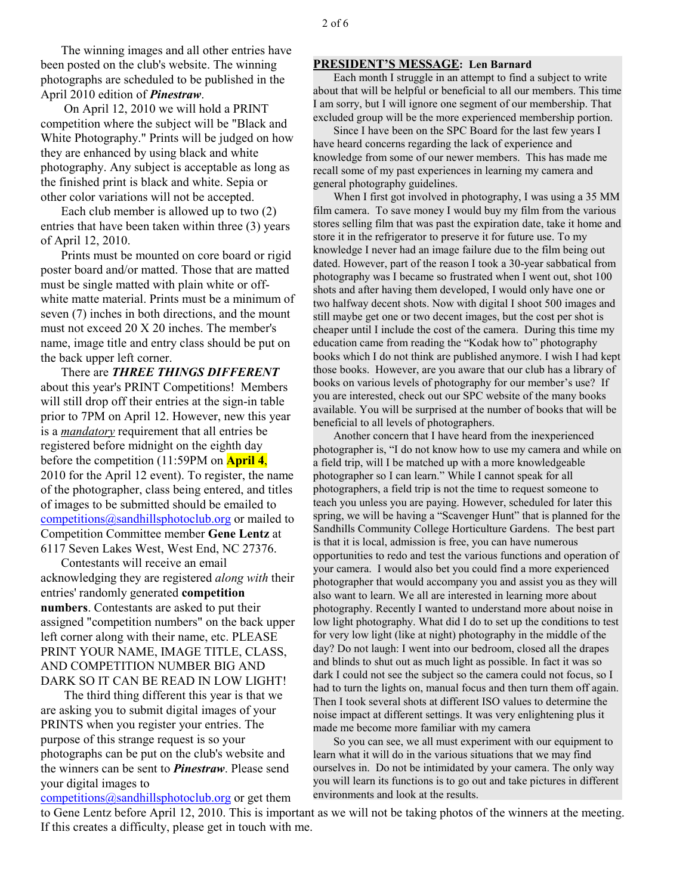The winning images and all other entries have been posted on the club's website. The winning photographs are scheduled to be published in the April 2010 edition of *Pinestraw*.

 On April 12, 2010 we will hold a PRINT competition where the subject will be "Black and White Photography." Prints will be judged on how they are enhanced by using black and white photography. Any subject is acceptable as long as the finished print is black and white. Sepia or other color variations will not be accepted.

Each club member is allowed up to two (2) entries that have been taken within three (3) years of April 12, 2010.

Prints must be mounted on core board or rigid poster board and/or matted. Those that are matted must be single matted with plain white or offwhite matte material. Prints must be a minimum of seven (7) inches in both directions, and the mount must not exceed 20 X 20 inches. The member's name, image title and entry class should be put on the back upper left corner.

There are *THREE THINGS DIFFERENT* about this year's PRINT Competitions! Members will still drop off their entries at the sign-in table prior to 7PM on April 12. However, new this year is a *mandatory* requirement that all entries be registered before midnight on the eighth day before the competition (11:59PM on **April 4**, 2010 for the April 12 event). To register, the name of the photographer, class being entered, and titles of images to be submitted should be emailed to competitions@sandhillsphotoclub.org or mailed to Competition Committee member **Gene Lentz** at 6117 Seven Lakes West, West End, NC 27376.

Contestants will receive an email acknowledging they are registered *along with* their entries' randomly generated **competition numbers**. Contestants are asked to put their assigned "competition numbers" on the back upper left corner along with their name, etc. PLEASE PRINT YOUR NAME, IMAGE TITLE, CLASS, AND COMPETITION NUMBER BIG AND DARK SO IT CAN BE READ IN LOW LIGHT!

 The third thing different this year is that we are asking you to submit digital images of your PRINTS when you register your entries. The purpose of this strange request is so your photographs can be put on the club's website and the winners can be sent to *Pinestraw*. Please send your digital images to

competitions  $(a)$  sandhills photoclub.org or get them

## **PRESIDENT'S MESSAGE: Len Barnard**

Each month I struggle in an attempt to find a subject to write about that will be helpful or beneficial to all our members. This time I am sorry, but I will ignore one segment of our membership. That excluded group will be the more experienced membership portion.

Since I have been on the SPC Board for the last few years I have heard concerns regarding the lack of experience and knowledge from some of our newer members. This has made me recall some of my past experiences in learning my camera and general photography guidelines.

When I first got involved in photography, I was using a 35 MM film camera. To save money I would buy my film from the various stores selling film that was past the expiration date, take it home and store it in the refrigerator to preserve it for future use. To my knowledge I never had an image failure due to the film being out dated. However, part of the reason I took a 30-year sabbatical from photography was I became so frustrated when I went out, shot 100 shots and after having them developed, I would only have one or two halfway decent shots. Now with digital I shoot 500 images and still maybe get one or two decent images, but the cost per shot is cheaper until I include the cost of the camera. During this time my education came from reading the "Kodak how to" photography books which I do not think are published anymore. I wish I had kept those books. However, are you aware that our club has a library of books on various levels of photography for our member's use? If you are interested, check out our SPC website of the many books available. You will be surprised at the number of books that will be beneficial to all levels of photographers.

Another concern that I have heard from the inexperienced photographer is, "I do not know how to use my camera and while on a field trip, will I be matched up with a more knowledgeable photographer so I can learn." While I cannot speak for all photographers, a field trip is not the time to request someone to teach you unless you are paying. However, scheduled for later this spring, we will be having a "Scavenger Hunt" that is planned for the Sandhills Community College Horticulture Gardens. The best part is that it is local, admission is free, you can have numerous opportunities to redo and test the various functions and operation of your camera. I would also bet you could find a more experienced photographer that would accompany you and assist you as they will also want to learn. We all are interested in learning more about photography. Recently I wanted to understand more about noise in low light photography. What did I do to set up the conditions to test for very low light (like at night) photography in the middle of the day? Do not laugh: I went into our bedroom, closed all the drapes and blinds to shut out as much light as possible. In fact it was so dark I could not see the subject so the camera could not focus, so I had to turn the lights on, manual focus and then turn them off again. Then I took several shots at different ISO values to determine the noise impact at different settings. It was very enlightening plus it made me become more familiar with my camera

So you can see, we all must experiment with our equipment to learn what it will do in the various situations that we may find ourselves in. Do not be intimidated by your camera. The only way you will learn its functions is to go out and take pictures in different environments and look at the results.

to Gene Lentz before April 12, 2010. This is important as we will not be taking photos of the winners at the meeting. If this creates a difficulty, please get in touch with me.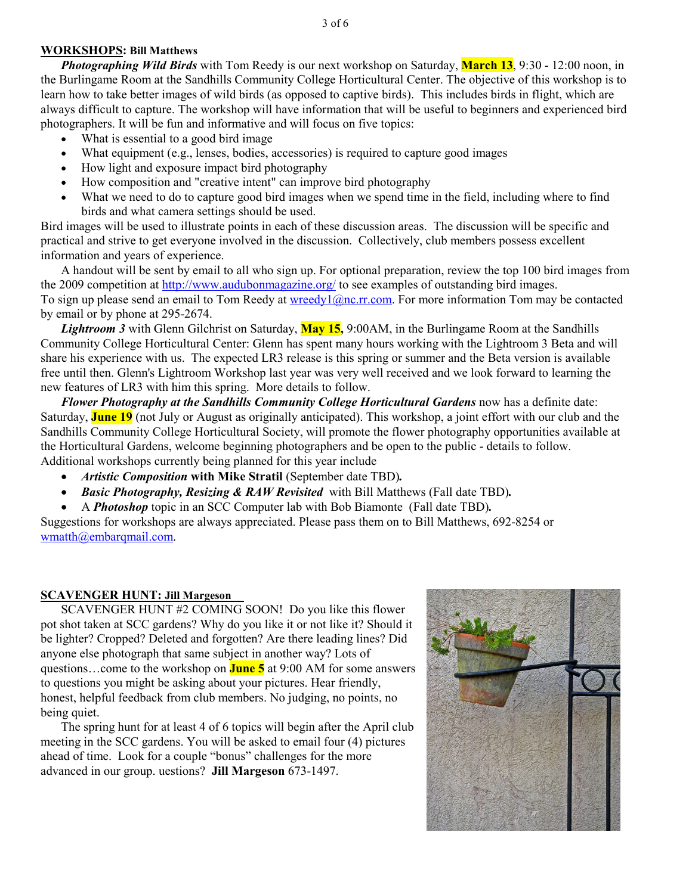## **WORKSHOPS: Bill Matthews**

*Photographing Wild Birds* with Tom Reedy is our next workshop on Saturday, **March 13**, 9:30 - 12:00 noon, in the Burlingame Room at the Sandhills Community College Horticultural Center. The objective of this workshop is to learn how to take better images of wild birds (as opposed to captive birds). This includes birds in flight, which are always difficult to capture. The workshop will have information that will be useful to beginners and experienced bird photographers. It will be fun and informative and will focus on five topics:

- What is essential to a good bird image
- What equipment (e.g., lenses, bodies, accessories) is required to capture good images
- How light and exposure impact bird photography
- How composition and "creative intent" can improve bird photography
- What we need to do to capture good bird images when we spend time in the field, including where to find birds and what camera settings should be used.

Bird images will be used to illustrate points in each of these discussion areas. The discussion will be specific and practical and strive to get everyone involved in the discussion. Collectively, club members possess excellent information and years of experience.

A handout will be sent by email to all who sign up. For optional preparation, review the top 100 bird images from the 2009 competition at http://www.audubonmagazine.org/ to see examples of outstanding bird images. To sign up please send an email to Tom Reedy at wreedy1@nc.rr.com. For more information Tom may be contacted by email or by phone at 295-2674.

*Lightroom 3* with Glenn Gilchrist on Saturday, **May 15,** 9:00AM, in the Burlingame Room at the Sandhills Community College Horticultural Center: Glenn has spent many hours working with the Lightroom 3 Beta and will share his experience with us. The expected LR3 release is this spring or summer and the Beta version is available free until then. Glenn's Lightroom Workshop last year was very well received and we look forward to learning the new features of LR3 with him this spring. More details to follow.

*Flower Photography at the Sandhills Community College Horticultural Gardens* now has a definite date: Saturday, **June 19** (not July or August as originally anticipated). This workshop, a joint effort with our club and the Sandhills Community College Horticultural Society, will promote the flower photography opportunities available at the Horticultural Gardens, welcome beginning photographers and be open to the public - details to follow. Additional workshops currently being planned for this year include

- *Artistic Composition* with Mike Stratil (September date TBD).
- *Basic Photography, Resizing & RAW Revisited* with Bill Matthews (Fall date TBD)*.*
- A *Photoshop* topic in an SCC Computer lab with Bob Biamonte (Fall date TBD)*.*

Suggestions for workshops are always appreciated. Please pass them on to Bill Matthews, 692-8254 or wmatth@embarqmail.com.

# **SCAVENGER HUNT: Jill Margeson**

SCAVENGER HUNT #2 COMING SOON! Do you like this flower pot shot taken at SCC gardens? Why do you like it or not like it? Should it be lighter? Cropped? Deleted and forgotten? Are there leading lines? Did anyone else photograph that same subject in another way? Lots of questions…come to the workshop on **June 5** at 9:00 AM for some answers to questions you might be asking about your pictures. Hear friendly, honest, helpful feedback from club members. No judging, no points, no being quiet.

The spring hunt for at least 4 of 6 topics will begin after the April club meeting in the SCC gardens. You will be asked to email four (4) pictures ahead of time. Look for a couple "bonus" challenges for the more advanced in our group. uestions? **Jill Margeson** 673-1497.

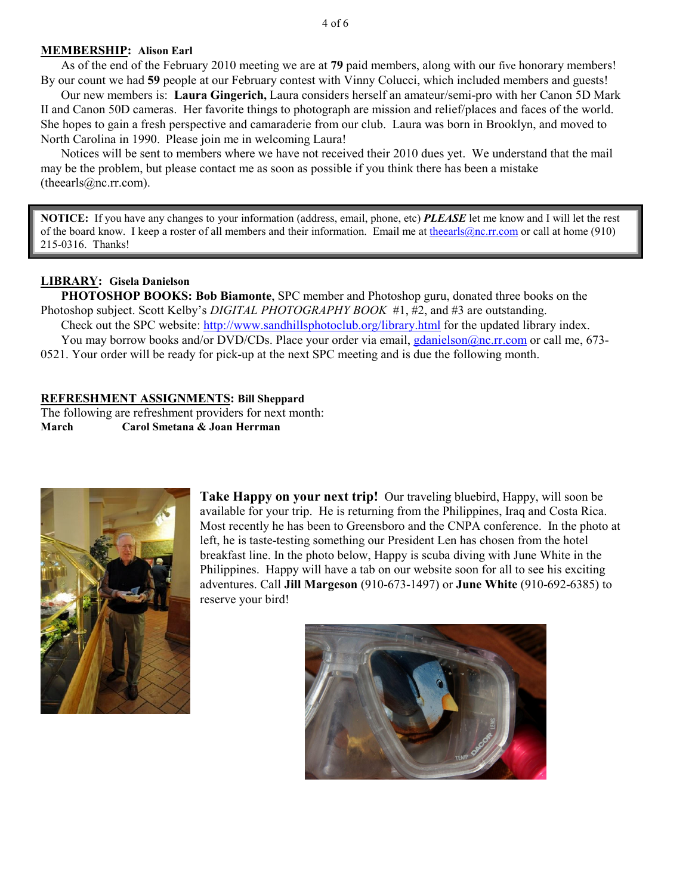## **MEMBERSHIP: Alison Earl**

As of the end of the February 2010 meeting we are at **79** paid members, along with our five honorary members! By our count we had **59** people at our February contest with Vinny Colucci, which included members and guests!

Our new members is: **Laura Gingerich,** Laura considers herself an amateur/semi-pro with her Canon 5D Mark II and Canon 50D cameras. Her favorite things to photograph are mission and relief/places and faces of the world. She hopes to gain a fresh perspective and camaraderie from our club. Laura was born in Brooklyn, and moved to North Carolina in 1990. Please join me in welcoming Laura!

Notices will be sent to members where we have not received their 2010 dues yet. We understand that the mail may be the problem, but please contact me as soon as possible if you think there has been a mistake (theearls@nc.rr.com).

**NOTICE:** If you have any changes to your information (address, email, phone, etc) *PLEASE* let me know and I will let the rest of the board know. I keep a roster of all members and their information. Email me at theearls@nc.rr.com or call at home (910) 215-0316. Thanks!

# **LIBRARY: Gisela Danielson**

**PHOTOSHOP BOOKS: Bob Biamonte**, SPC member and Photoshop guru, donated three books on the Photoshop subject. Scott Kelby's *DIGITAL PHOTOGRAPHY BOOK* #1, #2, and #3 are outstanding.

 Check out the SPC website: http://www.sandhillsphotoclub.org/library.html for the updated library index. You may borrow books and/or DVD/CDs. Place your order via email, gdanielson@nc.rr.com or call me, 673-0521. Your order will be ready for pick-up at the next SPC meeting and is due the following month.

### **REFRESHMENT ASSIGNMENTS: Bill Sheppard**

The following are refreshment providers for next month: **March Carol Smetana & Joan Herrman** 



**Take Happy on your next trip!** Our traveling bluebird, Happy, will soon be available for your trip. He is returning from the Philippines, Iraq and Costa Rica. Most recently he has been to Greensboro and the CNPA conference. In the photo at left, he is taste-testing something our President Len has chosen from the hotel breakfast line. In the photo below, Happy is scuba diving with June White in the Philippines. Happy will have a tab on our website soon for all to see his exciting adventures. Call **Jill Margeson** (910-673-1497) or **June White** (910-692-6385) to reserve your bird!

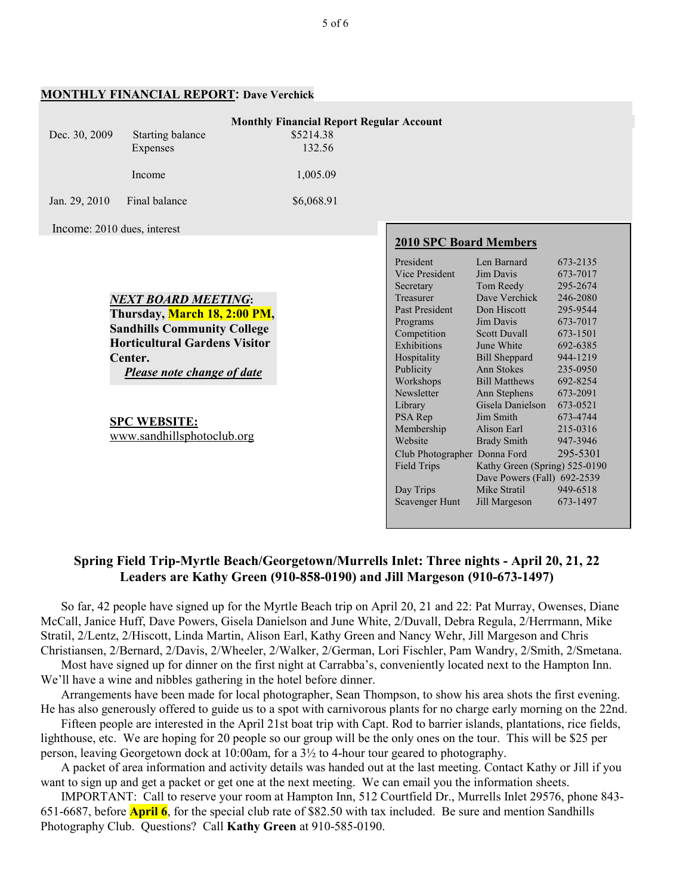|                                                                                 | MUNTHLI FINANCIAL KEI UKT. DAVE VEITIITK |            |                               |                               |          |  |  |  |
|---------------------------------------------------------------------------------|------------------------------------------|------------|-------------------------------|-------------------------------|----------|--|--|--|
| <b>Monthly Financial Report Regular Account</b>                                 |                                          |            |                               |                               |          |  |  |  |
| Dec. 30, 2009                                                                   | Starting balance                         | \$5214.38  |                               |                               |          |  |  |  |
|                                                                                 |                                          |            |                               |                               |          |  |  |  |
|                                                                                 | Expenses                                 | 132.56     |                               |                               |          |  |  |  |
|                                                                                 | Income                                   | 1,005.09   |                               |                               |          |  |  |  |
| Jan. 29, 2010                                                                   | Final balance                            | \$6,068.91 |                               |                               |          |  |  |  |
|                                                                                 |                                          |            |                               |                               |          |  |  |  |
| Income: 2010 dues, interest                                                     |                                          |            |                               |                               |          |  |  |  |
|                                                                                 |                                          |            | <b>2010 SPC Board Members</b> |                               |          |  |  |  |
|                                                                                 |                                          |            |                               |                               |          |  |  |  |
|                                                                                 |                                          |            | President                     | Len Barnard                   | 673-2135 |  |  |  |
|                                                                                 |                                          |            | <b>Vice President</b>         | Jim Davis                     | 673-7017 |  |  |  |
|                                                                                 |                                          |            | Secretary                     | Tom Reedy                     | 295-2674 |  |  |  |
| NEXT BOARD MEETING:                                                             |                                          |            | Treasurer                     | Dave Verchick                 | 246-2080 |  |  |  |
| Thursday, March 18, 2:00 PM,                                                    |                                          |            | Past President                | Don Hiscott                   | 295-9544 |  |  |  |
| <b>Sandhills Community College</b>                                              |                                          |            | Programs                      | Jim Davis                     | 673-7017 |  |  |  |
|                                                                                 |                                          |            | Competition                   | <b>Scott Duvall</b>           | 673-1501 |  |  |  |
| <b>Horticultural Gardens Visitor</b>                                            |                                          |            | Exhibitions                   | June White                    | 692-6385 |  |  |  |
| Center.                                                                         |                                          |            | Hospitality                   | <b>Bill Sheppard</b>          | 944-1219 |  |  |  |
| Please note change of date<br><b>SPC WEBSITE:</b><br>www.sandhillsphotoclub.org |                                          |            | Publicity                     | Ann Stokes                    | 235-0950 |  |  |  |
|                                                                                 |                                          |            | Workshops                     | <b>Bill Matthews</b>          | 692-8254 |  |  |  |
|                                                                                 |                                          |            | Newsletter                    | Ann Stephens                  | 673-2091 |  |  |  |
|                                                                                 |                                          |            | Library                       | Gisela Danielson              | 673-0521 |  |  |  |
|                                                                                 |                                          |            | PSA Rep                       | Jim Smith                     | 673-4744 |  |  |  |
|                                                                                 |                                          |            | Membership                    | Alison Earl                   | 215-0316 |  |  |  |
|                                                                                 |                                          |            | Website                       | <b>Brady Smith</b>            | 947-3946 |  |  |  |
|                                                                                 |                                          |            | Club Photographer Donna Ford  |                               | 295-5301 |  |  |  |
|                                                                                 |                                          |            | Field Trips                   | Kathy Green (Spring) 525-0190 |          |  |  |  |
|                                                                                 |                                          |            | Dave Powers (Fall) 692-2539   |                               |          |  |  |  |
|                                                                                 |                                          |            | Day Trips                     | Mike Stratil                  | 949-6518 |  |  |  |

# **MONTHLY FINANCIAL REPORT: Dave Verchick**

# **Spring Field Trip-Myrtle Beach/Georgetown/Murrells Inlet: Three nights - April 20, 21, 22 Leaders are Kathy Green (910-858-0190) and Jill Margeson (910-673-1497)**

Scavenger Hunt Jill Margeson 673-1497

So far, 42 people have signed up for the Myrtle Beach trip on April 20, 21 and 22: Pat Murray, Owenses, Diane McCall, Janice Huff, Dave Powers, Gisela Danielson and June White, 2/Duvall, Debra Regula, 2/Herrmann, Mike Stratil, 2/Lentz, 2/Hiscott, Linda Martin, Alison Earl, Kathy Green and Nancy Wehr, Jill Margeson and Chris Christiansen, 2/Bernard, 2/Davis, 2/Wheeler, 2/Walker, 2/German, Lori Fischler, Pam Wandry, 2/Smith, 2/Smetana.

Most have signed up for dinner on the first night at Carrabba's, conveniently located next to the Hampton Inn. We'll have a wine and nibbles gathering in the hotel before dinner.

Arrangements have been made for local photographer, Sean Thompson, to show his area shots the first evening. He has also generously offered to guide us to a spot with carnivorous plants for no charge early morning on the 22nd.

Fifteen people are interested in the April 21st boat trip with Capt. Rod to barrier islands, plantations, rice fields, lighthouse, etc. We are hoping for 20 people so our group will be the only ones on the tour. This will be \$25 per person, leaving Georgetown dock at 10:00am, for a 3½ to 4-hour tour geared to photography.

A packet of area information and activity details was handed out at the last meeting. Contact Kathy or Jill if you want to sign up and get a packet or get one at the next meeting. We can email you the information sheets.

IMPORTANT: Call to reserve your room at Hampton Inn, 512 Courtfield Dr., Murrells Inlet 29576, phone 843- 651-6687, before **April 6**, for the special club rate of \$82.50 with tax included. Be sure and mention Sandhills Photography Club. Questions? Call **Kathy Green** at 910-585-0190.